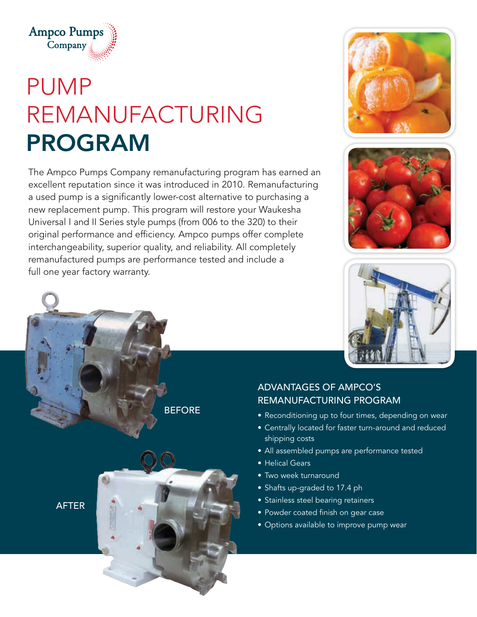

## PUMP REMANUFACTURING PROGRAM

The Ampco Pumps Company remanufacturing program has earned an excellent reputation since it was introduced in 2010. Remanufacturing a used pump is a significantly lower-cost alternative to purchasing a new replacement pump. This program will restore your Waukesha Universal I and II Series style pumps (from 006 to the 320) to their original performance and efficiency. Ampco pumps offer complete interchangeability, superior quality, and reliability. All completely remanufactured pumps are performance tested and include a full one year factory warranty.







## ADVANTAGES OF AMPCO'S REMANUFACTURING PROGRAM

- Reconditioning up to four times, depending on wear
- Centrally located for faster turn-around and reduced shipping costs
- All assembled pumps are performance tested
- Helical Gears
- Two week turnaround
- Shafts up-graded to 17.4 ph
- Stainless steel bearing retainers
- Powder coated finish on gear case
- Options available to improve pump wear

AFTER

**BEFORE**